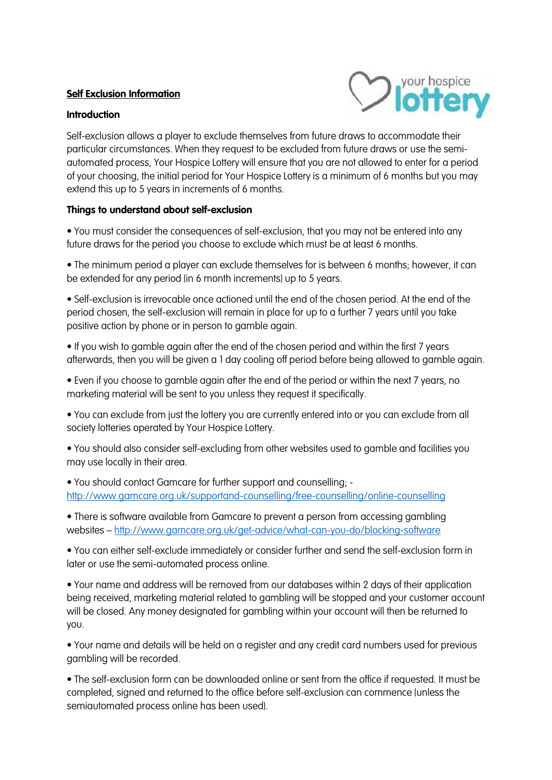## **Self Exclusion Information**

## **Introduction**



Self-exclusion allows a player to exclude themselves from future draws to accommodate their particular circumstances. When they request to be excluded from future draws or use the semiautomated process, Your Hospice Lottery will ensure that you are not allowed to enter for a period of your choosing, the initial period for Your Hospice Lottery is a minimum of 6 months but you may extend this up to 5 years in increments of 6 months.

## **Things to understand about self-exclusion**

• You must consider the consequences of self-exclusion, that you may not be entered into any future draws for the period you choose to exclude which must be at least 6 months.

• The minimum period a player can exclude themselves for is between 6 months; however, it can be extended for any period (in 6 month increments) up to 5 years.

• Self-exclusion is irrevocable once actioned until the end of the chosen period. At the end of the period chosen, the self-exclusion will remain in place for up to a further 7 years until you take positive action by phone or in person to gamble again.

• If you wish to gamble again after the end of the chosen period and within the first 7 years afterwards, then you will be given a 1 day cooling off period before being allowed to gamble again.

• Even if you choose to gamble again after the end of the period or within the next 7 years, no marketing material will be sent to you unless they request it specifically.

• You can exclude from just the lottery you are currently entered into or you can exclude from all society lotteries operated by Your Hospice Lottery.

• You should also consider self-excluding from other websites used to gamble and facilities you may use locally in their area.

• You should contact Gamcare for further support and counselling; <http://www.gamcare.org.uk/supportand-counselling/free-counselling/online-counselling>

• There is software available from Gamcare to prevent a person from accessing gambling websites – <http://www.gamcare.org.uk/get-advice/what-can-you-do/blocking-software>

• You can either self-exclude immediately or consider further and send the self-exclusion form in later or use the semi-automated process online.

• Your name and address will be removed from our databases within 2 days of their application being received, marketing material related to gambling will be stopped and your customer account will be closed. Any money designated for gambling within your account will then be returned to you.

• Your name and details will be held on a register and any credit card numbers used for previous gambling will be recorded.

• The self-exclusion form can be downloaded online or sent from the office if requested. It must be completed, signed and returned to the office before self-exclusion can commence (unless the semiautomated process online has been used).